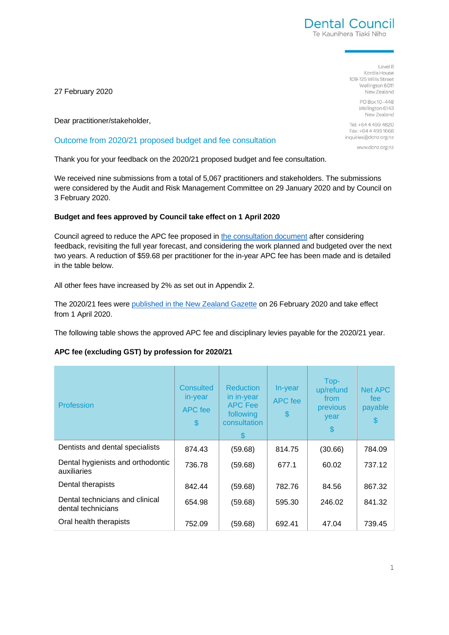

Level 8 Kordia House 109-125 Willis Street Wellington 6011 New Zealand

> PO Box 10-448 Wellington 6143 New Zealand

Tel: +64 4 499 4820 Fax: +64 4 499 1668 inquiries@dcnz.org.nz

www.dcnz.org.nz

27 February 2020

Dear practitioner/stakeholder,

#### Outcome from 2020/21 proposed budget and fee consultation

Thank you for your feedback on the 2020/21 proposed budget and fee consultation.

We received nine submissions from a total of 5,067 practitioners and stakeholders. The submissions were considered by the Audit and Risk Management Committee on 29 January 2020 and by Council on 3 February 2020.

#### **Budget and fees approved by Council take effect on 1 April 2020**

Council agreed to reduce the APC fee proposed in [the consultation document](https://www.dcnz.org.nz/assets/Uploads/Consultations/2019/Consultation-proposed-2020-21-budget-fees-and-levies/2020-21-proposed-budget-and-fees-consultation-document.pdf) after considering feedback, revisiting the full year forecast, and considering the work planned and budgeted over the next two years. A reduction of \$59.68 per practitioner for the in-year APC fee has been made and is detailed in the table below.

All other fees have increased by 2% as set out in Appendix 2.

The 2020/21 fees were [published in the New Zealand Gazette](https://gazette.govt.nz/notice/id/2020-gs489) on 26 February 2020 and take effect from 1 April 2020.

The following table shows the approved APC fee and disciplinary levies payable for the 2020/21 year.

#### **APC fee (excluding GST) by profession for 2020/21**

| Profession                                            | Consulted<br>in-year<br>APC fee<br>$\mathbf{\$}$ | <b>Reduction</b><br>in in-year<br><b>APC Fee</b><br>following<br>consultation | In-year<br>APC fee<br>\$ | Top-<br>up/refund<br>from<br>previous<br>year<br>\$. | Net APC<br>fee<br>payable<br>$\boldsymbol{\mathsf{S}}$ |
|-------------------------------------------------------|--------------------------------------------------|-------------------------------------------------------------------------------|--------------------------|------------------------------------------------------|--------------------------------------------------------|
| Dentists and dental specialists                       | 874.43                                           | (59.68)                                                                       | 814.75                   | (30.66)                                              | 784.09                                                 |
| Dental hygienists and orthodontic<br>auxiliaries      | 736.78                                           | (59.68)                                                                       | 677.1                    | 60.02                                                | 737.12                                                 |
| Dental therapists                                     | 842.44                                           | (59.68)                                                                       | 782.76                   | 84.56                                                | 867.32                                                 |
| Dental technicians and clinical<br>dental technicians | 654.98                                           | (59.68)                                                                       | 595.30                   | 246.02                                               | 841.32                                                 |
| Oral health therapists                                | 752.09                                           | (59.68)                                                                       | 692.41                   | 47.04                                                | 739.45                                                 |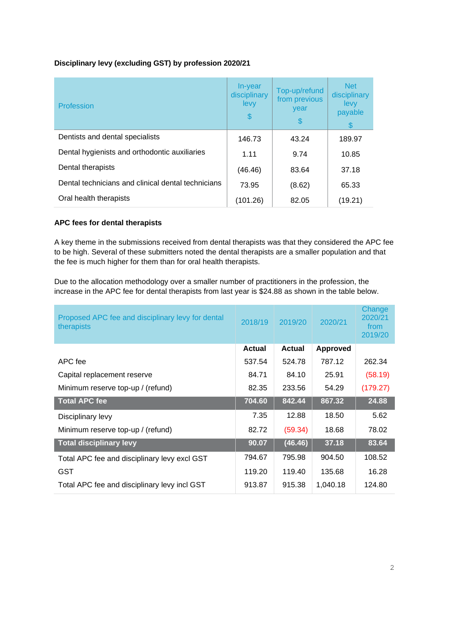### **Disciplinary levy (excluding GST) by profession 2020/21**

| Profession                                         | In-year<br>disciplinary<br>levy<br>\$ | Top-up/refund<br>from previous<br>year<br>\$ | <b>Net</b><br>disciplinary<br>levy<br>payable<br>S |
|----------------------------------------------------|---------------------------------------|----------------------------------------------|----------------------------------------------------|
| Dentists and dental specialists                    | 146.73                                | 43.24                                        | 189.97                                             |
| Dental hygienists and orthodontic auxiliaries      | 1.11                                  | 9.74                                         | 10.85                                              |
| Dental therapists                                  | (46.46)                               | 83.64                                        | 37.18                                              |
| Dental technicians and clinical dental technicians | 73.95                                 | (8.62)                                       | 65.33                                              |
| Oral health therapists                             | (101.26)                              | 82.05                                        | (19.21)                                            |

### **APC fees for dental therapists**

A key theme in the submissions received from dental therapists was that they considered the APC fee to be high. Several of these submitters noted the dental therapists are a smaller population and that the fee is much higher for them than for oral health therapists.

Due to the allocation methodology over a smaller number of practitioners in the profession, the increase in the APC fee for dental therapists from last year is \$24.88 as shown in the table below.

| Proposed APC fee and disciplinary levy for dental<br>therapists | 2018/19       | 2019/20       | 2020/21         | Change<br>2020/21<br>from<br>2019/20 |
|-----------------------------------------------------------------|---------------|---------------|-----------------|--------------------------------------|
|                                                                 | <b>Actual</b> | <b>Actual</b> | <b>Approved</b> |                                      |
| APC fee                                                         | 537.54        | 524.78        | 787.12          | 262.34                               |
| Capital replacement reserve                                     | 84.71         | 84.10         | 25.91           | (58.19)                              |
| Minimum reserve top-up / (refund)                               | 82.35         | 233.56        | 54.29           | (179.27)                             |
| <b>Total APC fee</b>                                            | 704.60        | 842.44        | 867.32          | 24.88                                |
| Disciplinary levy                                               | 7.35          | 12.88         | 18.50           | 5.62                                 |
| Minimum reserve top-up / (refund)                               | 82.72         | (59.34)       | 18.68           | 78.02                                |
| <b>Total disciplinary levy</b>                                  | 90.07         | (46.46)       | 37.18           | 83.64                                |
| Total APC fee and disciplinary levy excl GST                    | 794.67        | 795.98        | 904.50          | 108.52                               |
| <b>GST</b>                                                      | 119.20        | 119.40        | 135.68          | 16.28                                |
| Total APC fee and disciplinary levy incl GST                    | 913.87        | 915.38        | 1,040.18        | 124.80                               |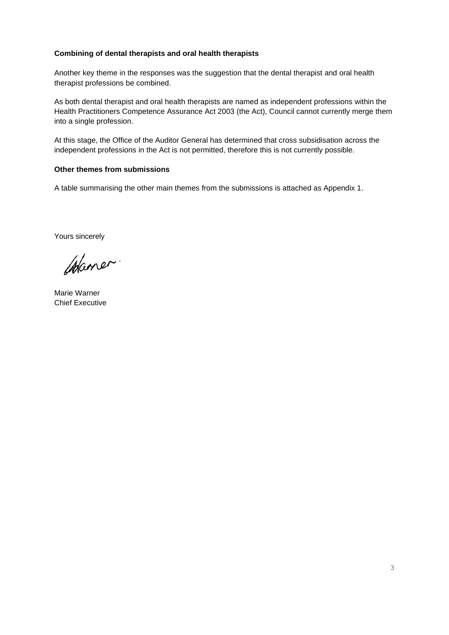#### **Combining of dental therapists and oral health therapists**

Another key theme in the responses was the suggestion that the dental therapist and oral health therapist professions be combined.

As both dental therapist and oral health therapists are named as independent professions within the Health Practitioners Competence Assurance Act 2003 (the Act), Council cannot currently merge them into a single profession.

At this stage, the Office of the Auditor General has determined that cross subsidisation across the independent professions in the Act is not permitted, therefore this is not currently possible.

#### **Other themes from submissions**

A table summarising the other main themes from the submissions is attached as Appendix 1.

Yours sincerely

Waner.

Marie Warner Chief Executive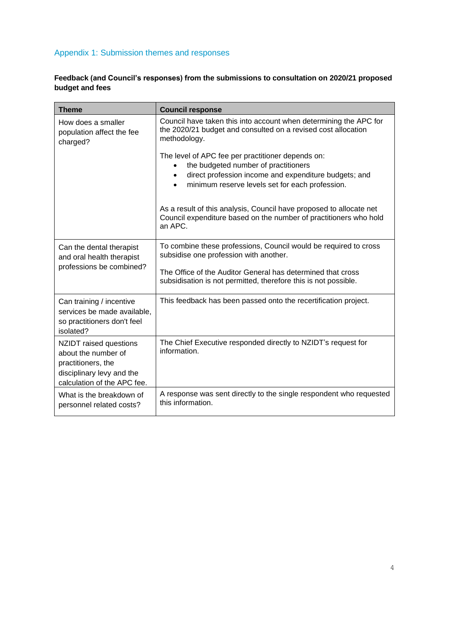# Appendix 1: Submission themes and responses

### **Feedback (and Council's responses) from the submissions to consultation on 2020/21 proposed budget and fees**

| <b>Theme</b>                                                                                                                    | <b>Council response</b>                                                                                                                                                                                            |
|---------------------------------------------------------------------------------------------------------------------------------|--------------------------------------------------------------------------------------------------------------------------------------------------------------------------------------------------------------------|
| How does a smaller<br>population affect the fee<br>charged?                                                                     | Council have taken this into account when determining the APC for<br>the 2020/21 budget and consulted on a revised cost allocation<br>methodology.                                                                 |
|                                                                                                                                 | The level of APC fee per practitioner depends on:<br>the budgeted number of practitioners<br>direct profession income and expenditure budgets; and<br>$\bullet$<br>minimum reserve levels set for each profession. |
|                                                                                                                                 | As a result of this analysis, Council have proposed to allocate net<br>Council expenditure based on the number of practitioners who hold<br>an APC.                                                                |
| Can the dental therapist<br>and oral health therapist<br>professions be combined?                                               | To combine these professions, Council would be required to cross<br>subsidise one profession with another.                                                                                                         |
|                                                                                                                                 | The Office of the Auditor General has determined that cross<br>subsidisation is not permitted, therefore this is not possible.                                                                                     |
| Can training / incentive<br>services be made available,<br>so practitioners don't feel<br>isolated?                             | This feedback has been passed onto the recertification project.                                                                                                                                                    |
| NZIDT raised questions<br>about the number of<br>practitioners, the<br>disciplinary levy and the<br>calculation of the APC fee. | The Chief Executive responded directly to NZIDT's request for<br>information.                                                                                                                                      |
| What is the breakdown of<br>personnel related costs?                                                                            | A response was sent directly to the single respondent who requested<br>this information.                                                                                                                           |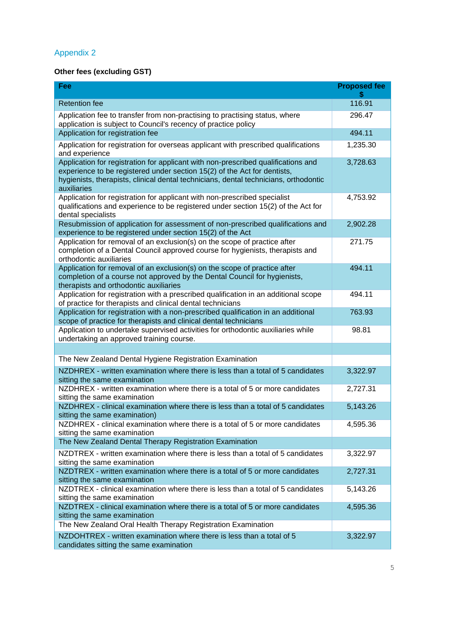# Appendix 2

# **Other fees (excluding GST)**

| Fee                                                                                                                                                                                                                                                                  | <b>Proposed fee</b> |
|----------------------------------------------------------------------------------------------------------------------------------------------------------------------------------------------------------------------------------------------------------------------|---------------------|
| <b>Retention fee</b>                                                                                                                                                                                                                                                 | 116.91              |
| Application fee to transfer from non-practising to practising status, where<br>application is subject to Council's recency of practice policy                                                                                                                        | 296.47              |
| Application for registration fee                                                                                                                                                                                                                                     | 494.11              |
| Application for registration for overseas applicant with prescribed qualifications<br>and experience                                                                                                                                                                 | 1,235.30            |
| Application for registration for applicant with non-prescribed qualifications and<br>experience to be registered under section 15(2) of the Act for dentists,<br>hygienists, therapists, clinical dental technicians, dental technicians, orthodontic<br>auxiliaries | 3,728.63            |
| Application for registration for applicant with non-prescribed specialist<br>qualifications and experience to be registered under section 15(2) of the Act for<br>dental specialists                                                                                 | 4,753.92            |
| Resubmission of application for assessment of non-prescribed qualifications and<br>experience to be registered under section 15(2) of the Act                                                                                                                        | 2,902.28            |
| Application for removal of an exclusion(s) on the scope of practice after<br>completion of a Dental Council approved course for hygienists, therapists and<br>orthodontic auxiliaries                                                                                | 271.75              |
| Application for removal of an exclusion(s) on the scope of practice after<br>completion of a course not approved by the Dental Council for hygienists,<br>therapists and orthodontic auxiliaries                                                                     | 494.11              |
| Application for registration with a prescribed qualification in an additional scope<br>of practice for therapists and clinical dental technicians                                                                                                                    | 494.11              |
| Application for registration with a non-prescribed qualification in an additional<br>scope of practice for therapists and clinical dental technicians                                                                                                                | 763.93              |
| Application to undertake supervised activities for orthodontic auxiliaries while<br>undertaking an approved training course.                                                                                                                                         | 98.81               |
|                                                                                                                                                                                                                                                                      |                     |
| The New Zealand Dental Hygiene Registration Examination                                                                                                                                                                                                              |                     |
| NZDHREX - written examination where there is less than a total of 5 candidates<br>sitting the same examination                                                                                                                                                       | 3,322.97            |
| NZDHREX - written examination where there is a total of 5 or more candidates<br>sitting the same examination                                                                                                                                                         | 2,727.31            |
| NZDHREX - clinical examination where there is less than a total of 5 candidates<br>sitting the same examination)                                                                                                                                                     | 5,143.26            |
| NZDHREX - clinical examination where there is a total of 5 or more candidates<br>sitting the same examination                                                                                                                                                        | 4,595.36            |
| The New Zealand Dental Therapy Registration Examination                                                                                                                                                                                                              |                     |
| NZDTREX - written examination where there is less than a total of 5 candidates<br>sitting the same examination                                                                                                                                                       | 3,322.97            |
| NZDTREX - written examination where there is a total of 5 or more candidates<br>sitting the same examination                                                                                                                                                         | 2,727.31            |
| NZDTREX - clinical examination where there is less than a total of 5 candidates<br>sitting the same examination                                                                                                                                                      | 5,143.26            |
| NZDTREX - clinical examination where there is a total of 5 or more candidates<br>sitting the same examination                                                                                                                                                        | 4,595.36            |
| The New Zealand Oral Health Therapy Registration Examination                                                                                                                                                                                                         |                     |
| NZDOHTREX - written examination where there is less than a total of 5<br>candidates sitting the same examination                                                                                                                                                     | 3,322.97            |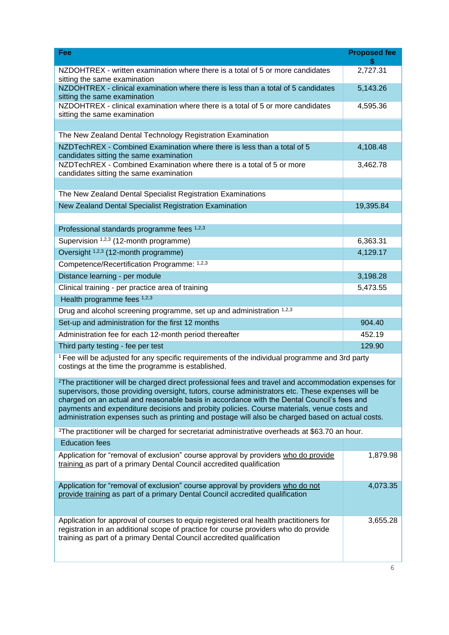|                                                                                                                                                                                                                                                                                                                                                                                                                                                                                                                       | <b>Proposed fee</b> |  |  |  |
|-----------------------------------------------------------------------------------------------------------------------------------------------------------------------------------------------------------------------------------------------------------------------------------------------------------------------------------------------------------------------------------------------------------------------------------------------------------------------------------------------------------------------|---------------------|--|--|--|
| NZDOHTREX - written examination where there is a total of 5 or more candidates<br>sitting the same examination                                                                                                                                                                                                                                                                                                                                                                                                        | 2,727.31            |  |  |  |
| NZDOHTREX - clinical examination where there is less than a total of 5 candidates<br>sitting the same examination                                                                                                                                                                                                                                                                                                                                                                                                     | 5,143.26            |  |  |  |
| NZDOHTREX - clinical examination where there is a total of 5 or more candidates<br>sitting the same examination                                                                                                                                                                                                                                                                                                                                                                                                       | 4,595.36            |  |  |  |
|                                                                                                                                                                                                                                                                                                                                                                                                                                                                                                                       |                     |  |  |  |
| The New Zealand Dental Technology Registration Examination                                                                                                                                                                                                                                                                                                                                                                                                                                                            |                     |  |  |  |
| NZDTechREX - Combined Examination where there is less than a total of 5<br>candidates sitting the same examination                                                                                                                                                                                                                                                                                                                                                                                                    | 4,108.48            |  |  |  |
| NZDTechREX - Combined Examination where there is a total of 5 or more<br>candidates sitting the same examination                                                                                                                                                                                                                                                                                                                                                                                                      | 3,462.78            |  |  |  |
|                                                                                                                                                                                                                                                                                                                                                                                                                                                                                                                       |                     |  |  |  |
| The New Zealand Dental Specialist Registration Examinations                                                                                                                                                                                                                                                                                                                                                                                                                                                           |                     |  |  |  |
| New Zealand Dental Specialist Registration Examination                                                                                                                                                                                                                                                                                                                                                                                                                                                                | 19,395.84           |  |  |  |
|                                                                                                                                                                                                                                                                                                                                                                                                                                                                                                                       |                     |  |  |  |
| Professional standards programme fees 1,2,3                                                                                                                                                                                                                                                                                                                                                                                                                                                                           |                     |  |  |  |
| Supervision 1,2,3 (12-month programme)                                                                                                                                                                                                                                                                                                                                                                                                                                                                                | 6,363.31            |  |  |  |
| Oversight <sup>1,2,3</sup> (12-month programme)                                                                                                                                                                                                                                                                                                                                                                                                                                                                       | 4,129.17            |  |  |  |
| Competence/Recertification Programme: 1,2,3                                                                                                                                                                                                                                                                                                                                                                                                                                                                           |                     |  |  |  |
| Distance learning - per module                                                                                                                                                                                                                                                                                                                                                                                                                                                                                        | 3,198.28            |  |  |  |
| Clinical training - per practice area of training                                                                                                                                                                                                                                                                                                                                                                                                                                                                     | 5,473.55            |  |  |  |
| Health programme fees 1,2,3                                                                                                                                                                                                                                                                                                                                                                                                                                                                                           |                     |  |  |  |
| Drug and alcohol screening programme, set up and administration 1,2,3                                                                                                                                                                                                                                                                                                                                                                                                                                                 |                     |  |  |  |
| Set-up and administration for the first 12 months                                                                                                                                                                                                                                                                                                                                                                                                                                                                     | 904.40              |  |  |  |
| Administration fee for each 12-month period thereafter                                                                                                                                                                                                                                                                                                                                                                                                                                                                | 452.19              |  |  |  |
| Third party testing - fee per test                                                                                                                                                                                                                                                                                                                                                                                                                                                                                    | 129.90              |  |  |  |
| <sup>1</sup> Fee will be adjusted for any specific requirements of the individual programme and 3rd party<br>costings at the time the programme is established.                                                                                                                                                                                                                                                                                                                                                       |                     |  |  |  |
| <sup>2</sup> The practitioner will be charged direct professional fees and travel and accommodation expenses for<br>supervisors, those providing oversight, tutors, course administrators etc. These expenses will be<br>charged on an actual and reasonable basis in accordance with the Dental Council's fees and<br>payments and expenditure decisions and probity policies. Course materials, venue costs and<br>administration expenses such as printing and postage will also be charged based on actual costs. |                     |  |  |  |
| <sup>3</sup> The practitioner will be charged for secretariat administrative overheads at \$63.70 an hour.                                                                                                                                                                                                                                                                                                                                                                                                            |                     |  |  |  |
| <b>Education fees</b>                                                                                                                                                                                                                                                                                                                                                                                                                                                                                                 |                     |  |  |  |
| Application for "removal of exclusion" course approval by providers who do provide<br>training as part of a primary Dental Council accredited qualification                                                                                                                                                                                                                                                                                                                                                           | 1,879.98            |  |  |  |
| Application for "removal of exclusion" course approval by providers who do not<br>provide training as part of a primary Dental Council accredited qualification                                                                                                                                                                                                                                                                                                                                                       | 4,073.35            |  |  |  |
| Application for approval of courses to equip registered oral health practitioners for<br>registration in an additional scope of practice for course providers who do provide<br>training as part of a primary Dental Council accredited qualification                                                                                                                                                                                                                                                                 | 3,655.28            |  |  |  |